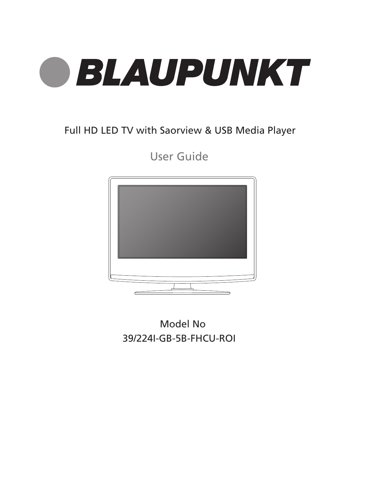

### Full HD LED TV with Saorview & USB Media Player

User Guide



Model No 39/224I-GB-5B-FHCU-ROI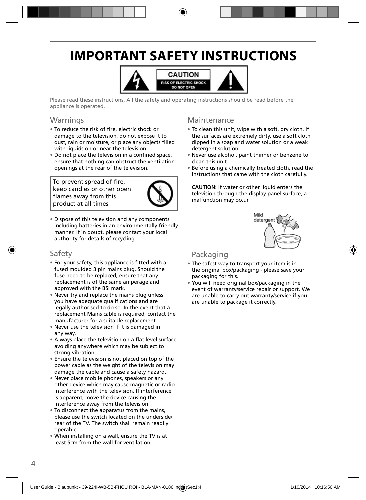# **IMPORTANT SAFETY INSTRUCTIONS**



Please read these instructions. All the safety and operating instructions should be read before the appliance is operated.

### Warnings

- To reduce the risk of fire, electric shock or damage to the television, do not expose it to dust, rain or moisture, or place any objects filled with liquids on or near the television.
- Do not place the television in a confined space, ensure that nothing can obstruct the ventilation openings at the rear of the television.

To prevent spread of fire, keep candles or other open flames away from this product at all times



• Dispose of this television and any components including batteries in an environmentally friendly manner. If in doubt, please contact your local authority for details of recycling.

### Safety

- For your safety, this appliance is fitted with a fused moulded 3 pin mains plug. Should the fuse need to be replaced, ensure that any replacement is of the same amperage and approved with the BSI mark.
- Never try and replace the mains plug unless you have adequate qualifications and are legally authorised to do so. In the event that a replacement Mains cable is required, contact the manufacturer for a suitable replacement.
- Never use the television if it is damaged in any way.
- Always place the television on a flat level surface avoiding anywhere which may be subject to strong vibration.
- Ensure the television is not placed on top of the power cable as the weight of the television may damage the cable and cause a safety hazard.
- Never place mobile phones, speakers or any other device which may cause magnetic or radio interference with the television. If interference is apparent, move the device causing the interference away from the television.
- To disconnect the apparatus from the mains, please use the switch located on the underside/ rear of the TV. The switch shall remain readily operable.
- When installing on a wall, ensure the TV is at least 5cm from the wall for ventilation

### Maintenance

- To clean this unit, wipe with a soft, dry cloth. If the surfaces are extremely dirty, use a soft cloth dipped in a soap and water solution or a weak detergent solution.
- Never use alcohol, paint thinner or benzene to clean this unit.
- Before using a chemically treated cloth, read the instructions that came with the cloth carefully.

**CAUTION:** If water or other liquid enters the television through the display panel surface, a malfunction may occur.



### Packaging

- The safest way to transport your item is in the original box/packaging - please save your packaging for this.
- You will need original box/packaging in the event of warranty/service repair or support. We are unable to carry out warranty/service if you are unable to package it correctly.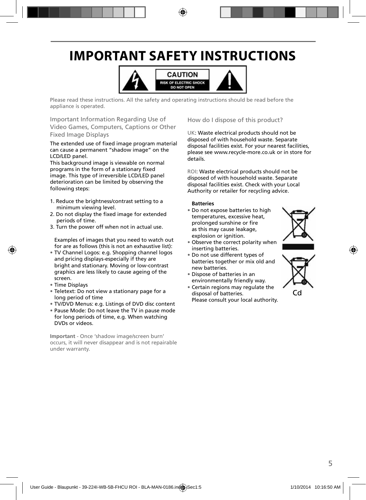# **IMPORTANT SAFETY INSTRUCTIONS**



Please read these instructions. All the safety and operating instructions should be read before the appliance is operated.

Important Information Regarding Use of Video Games, Computers, Captions or Other Fixed Image Displays

The extended use of fixed image program material can cause a permanent "shadow image" on the LCD/LED panel.

This background image is viewable on normal programs in the form of a stationary fixed image. This type of irreversible LCD/LED panel deterioration can be limited by observing the following steps:

- 1. Reduce the brightness/contrast setting to a minimum viewing level.
- 2. Do not display the fixed image for extended periods of time.
- 3. Turn the power off when not in actual use.

Examples of images that you need to watch out for are as follows (this is not an exhaustive list):

- TV Channel Logos: e.g. Shopping channel logos and pricing displays-especially if they are bright and stationary. Moving or low-contrast graphics are less likely to cause ageing of the screen.
- Time Displays
- Teletext: Do not view a stationary page for a long period of time
- TV/DVD Menus: e.g. Listings of DVD disc content
- Pause Mode: Do not leave the TV in pause mode for long periods of time, e.g. When watching DVDs or videos.

**Important** - Once 'shadow image/screen burn' occurs, it will never disappear and is not repairable under warranty.

How do I dispose of this product?

UK: Waste electrical products should not be disposed of with household waste. Separate disposal facilities exist. For your nearest facilities, please see www.recycle-more.co.uk or in store for details.

ROI: Waste electrical products should not be disposed of with household waste. Separate disposal facilities exist. Check with your Local Authority or retailer for recycling advice.

#### **Batteries**

• Do not expose batteries to high temperatures, excessive heat, prolonged sunshine or fire as this may cause leakage, explosion or ignition.



- Observe the correct polarity when inserting batteries.
- Do not use different types of batteries together or mix old and new batteries.
- Dispose of batteries in an environmentally friendly way.
- Certain regions may regulate the disposal of batteries. Please consult your local authority.



Cd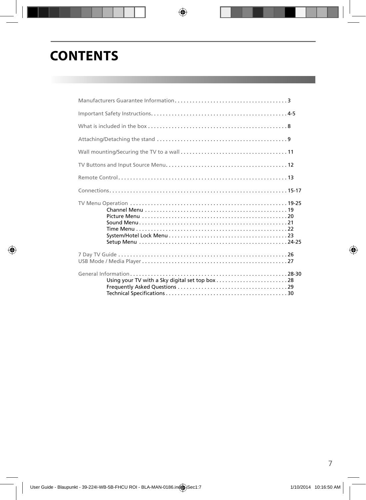# **CONTENTS**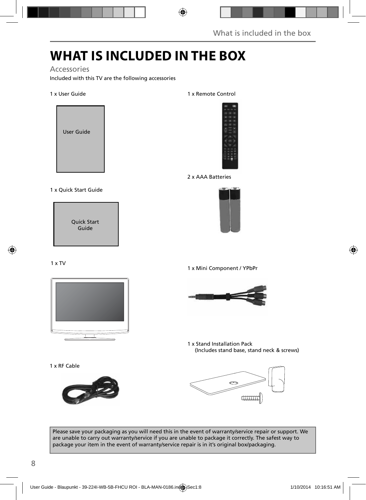## **WHAT IS INCLUDED IN THE BOX**

### Accessories

Included with this TV are the following accessories

#### 1 x User Guide



#### 1 x Quick Start Guide

Quick Start Guide

### 1 x TV



1 x RF Cable



#### 1 x Remote Control



2 x AAA Batteries



1 x Mini Component / YPbPr



1 x Stand Installation Pack (Includes stand base, stand neck & screws)



Please save your packaging as you will need this in the event of warranty/service repair or support. We are unable to carry out warranty/service if you are unable to package it correctly. The safest way to package your item in the event of warranty/service repair is in it's original box/packaging.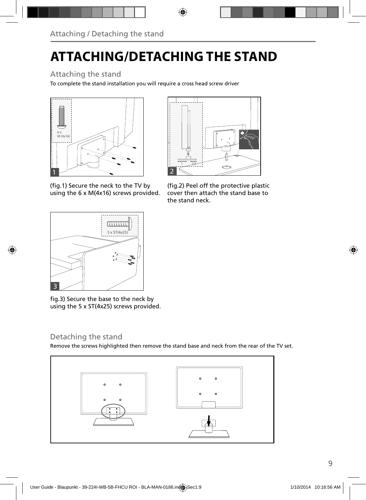# **ATTACHING/DETACHING THE STAND**

### Attaching the stand

To complete the stand installation you will require a cross head screw driver





(fig.1) Secure the neck to the TV by using the 6 x M(4x16) screws provided.



(fig.2) Peel off the protective plastic cover then attach the stand base to the stand neck.

fig.3) Secure the base to the neck by using the 5 x ST(4x25) screws provided.

### Detaching the stand

Remove the screws highlighted then remove the stand base and neck from the rear of the TV set.

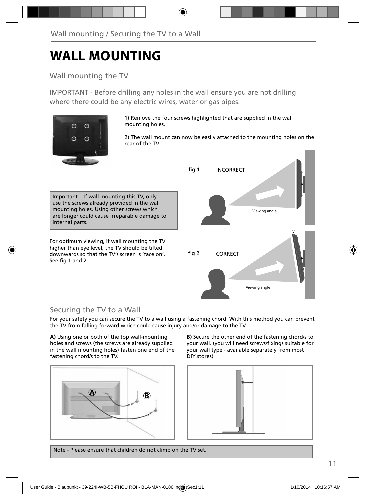## **WALL MOUNTING**

### Wall mounting the TV

IMPORTANT - Before drilling any holes in the wall ensure you are not drilling where there could be any electric wires, water or gas pipes.



1) Remove the four screws highlighted that are supplied in the wall mounting holes.

2) The wall mount can now be easily attached to the mounting holes on the rear of the TV.

Important – If wall mounting this TV, only use the screws already provided in the wall mounting holes. Using other screws which are longer could cause irreparable damage to internal parts.

For optimum viewing, if wall mounting the TV higher than eye level, the TV should be tilted downwards so that the TV's screen is 'face on'. See fig 1 and 2



### Securing the TV to a Wall

For your safety you can secure the TV to a wall using a fastening chord. With this method you can prevent the TV from falling forward which could cause injury and/or damage to the TV.

**A)** Using one or both of the top wall-mounting holes and screws (the screws are already supplied in the wall mounting holes) fasten one end of the fastening chord/s to the TV.



**B)** Secure the other end of the fastening chord/s to your wall. (you will need screws/fixings suitable for your wall type - available separately from most DIY stores)



Note - Please ensure that children do not climb on the TV set.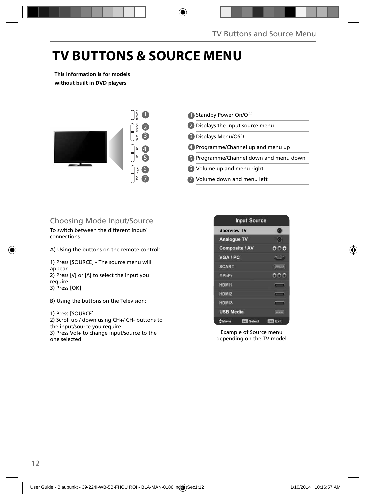## **TV BUTTONS & SOURCE MENU**

**This information is for models without built in DVD players**



- 1 Standby Power On/Off 2 Displays the input source menu Displays Menu/OSD 3 4) Programme/Channel up and menu up Programme/Channel down and menu down 5
- Volume up and menu right 6
- Volume down and menu left 7

### Choosing Mode Input/Source

To switch between the different input/ connections.

A) Using the buttons on the remote control:

1) Press [SOURCE] - The source menu will appear 2) Press  $[V]$  or  $[\Lambda]$  to select the input you require. 3) Press [OK]

B) Using the buttons on the Television:

1) Press [SOURCE]

2) Scroll up / down using CH+/ CH- buttons to the input/source you require 3) Press Vol+ to change input/source to the one selected.



Example of Source menu depending on the TV model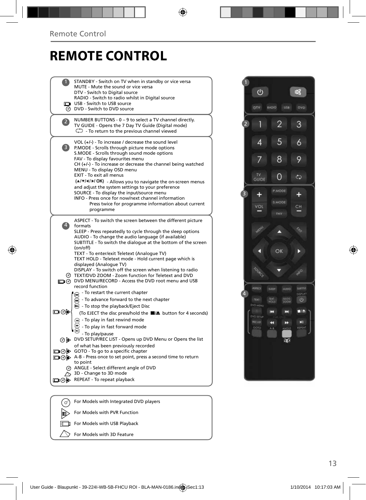## **REMOTE CONTROL**

|     | STANDBY - Switch on TV when in standby or vice versa                                                           |
|-----|----------------------------------------------------------------------------------------------------------------|
|     | MUTE - Mute the sound or vice versa<br>DTV - Switch to Digital source                                          |
|     | RADIO - Switch to radio whilst in Digital source                                                               |
|     | USB - Switch to USB source                                                                                     |
|     | O DVD - Switch to DVD source                                                                                   |
|     | NUMBER BUTTONS - 0 - 9 to select a TV channel directly.                                                        |
|     | TV GUIDE - Opens the 7 Day TV Guide (Digital mode)<br>$\mathbb{G}$ - To return to the previous channel viewed  |
|     |                                                                                                                |
|     | VOL $(+/-)$ - To increase / decrease the sound level                                                           |
| 3)  | P.MODE - Scrolls through picture mode options<br>S.MODE - Scrolls through sound mode options                   |
|     | FAV - To display favourites menu                                                                               |
|     | $CH (+/-)$ - To increase or decrease the channel being watched                                                 |
|     | MENU - To display OSD menu                                                                                     |
|     | EXIT - To exit all menus                                                                                       |
|     | (A/V/4/M/OK) - Allows you to navigate the on-screen menus<br>and adjust the system settings to your preference |
|     | SOURCE - To display the input/source menu                                                                      |
|     | INFO - Press once for now/next channel information                                                             |
|     | Press twice for programme information about current                                                            |
|     | programme                                                                                                      |
|     | ASPECT - To switch the screen between the different picture                                                    |
| 4)  | formats<br>SLEEP - Press repeatedly to cycle through the sleep options                                         |
|     | AUDIO - To change the audio language (if available)                                                            |
|     | SUBTITLE - To switch the dialogue at the bottom of the screen                                                  |
|     | (on/off)                                                                                                       |
|     | TEXT - To enter/exit Teletext (Analogue TV)<br>TEXT HOLD - Teletext mode - Hold current page which is          |
|     | displayed (Analogue TV)                                                                                        |
|     | DISPLAY - To switch off the screen when listening to radio                                                     |
| (ማ  | TEXT/DVD ZOOM - Zoom function for Teletext and DVD                                                             |
|     | O DVD MENU/RECORD - Access the DVD root menu and USB<br>record function                                        |
|     | To restart the current chapter                                                                                 |
|     | To advance forward to the next chapter                                                                         |
|     | $\odot$ - To stop the playback/Eject Disc                                                                      |
| య⊚⊡ | (To EJECT the disc press/hold the ■▲ button for 4 seconds)                                                     |
|     | + To play in fast rewind mode                                                                                  |
|     | - To play in fast forward mode                                                                                 |
|     | - To play/pause                                                                                                |
| ⊚   | DVD SETUP/REC LIST - Opens up DVD Menu or Opens the list                                                       |
|     | of what has been previously recorded<br>□ ⊙ > GOTO - To go to a specific chapter                               |
|     | □⊙ > A-B - Press once to set point, press a second time to return                                              |
|     | to point                                                                                                       |
|     | @ ANGLE - Select different angle of DVD                                                                        |
|     | $\sim$ 3D - Change to 3D mode                                                                                  |
|     | <b>九⊙lp</b> REPEAT - To repeat playback                                                                        |
|     |                                                                                                                |
| (ഗ  | For Models with Integrated DVD players                                                                         |
|     |                                                                                                                |



 $\mathbb{D}$ 

For Models with PVR Function

For Models with USB Playback

For Models with 3D Feature

 $\Box$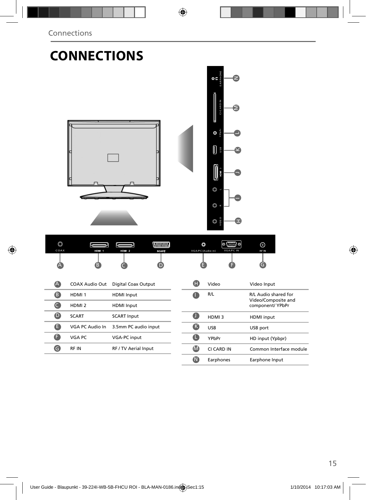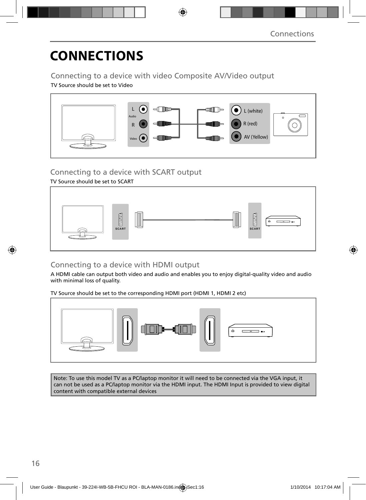# **CONNECTIONS**

### Connecting to a device with video Composite AV/Video output

TV Source should be set to Video



### Connecting to a device with SCART output

### TV Source should be set to SCART



### Connecting to a device with HDMI output

A HDMI cable can output both video and audio and enables you to enjoy digital-quality video and audio with minimal loss of quality.

TV Source should be set to the corresponding HDMI port (HDMI 1, HDMI 2 etc)



Note: To use this model TV as a PC/laptop monitor it will need to be connected via the VGA input, it can not be used as a PC/laptop monitor via the HDMI input. The HDMI Input is provided to view digital content with compatible external devices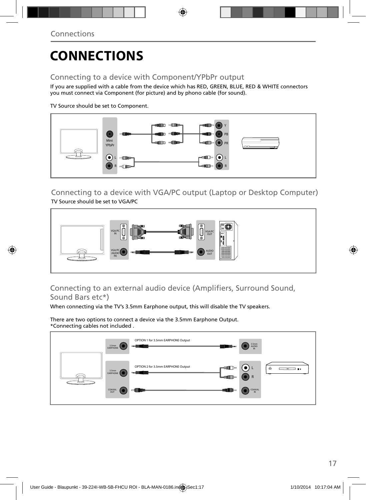# **CONNECTIONS**

### Connecting to a device with Component/YPbPr output

If you are supplied with a cable from the device which has RED, GREEN, BLUE, RED & WHITE connectors you must connect via Component (for picture) and by phono cable (for sound).

TV Source should be set to Component.



Connecting to a device with VGA/PC output (Laptop or Desktop Computer) TV Source should be set to VGA/PC



### Connecting to an external audio device (Amplifiers, Surround Sound, Sound Bars etc\*)

When connecting via the TV's 3.5mm Earphone output, this will disable the TV speakers.

There are two options to connect a device via the 3.5mm Earphone Output. \*Connecting cables not included .

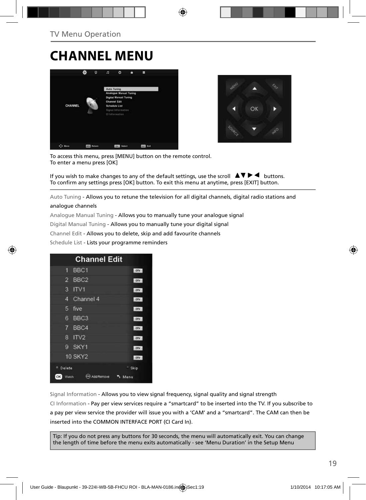## **CHANNEL MENU**





To access this menu, press [MENU] button on the remote control. To enter a menu press [OK]

If you wish to make changes to any of the default settings, use the scroll  $\Box \Box \blacktriangleright \blacktriangleleft$  buttons. To confirm any settings press [OK] button. To exit this menu at anytime, press [EXIT] button.

Auto Tuning - Allows you to retune the television for all digital channels, digital radio stations and analogue channels

### Analogue Manual Tuning - Allows you to manually tune your analogue signal

Digital Manual Tuning - Allows you to manually tune your digital signal

Channel Edit - Allows you to delete, skip and add favourite channels

Schedule List - Lists your programme reminders



Signal Information - Allows you to view signal frequency, signal quality and signal strength CI Information - Pay per view services require a "smartcard" to be inserted into the TV. If you subscribe to a pay per view service the provider will issue you with a 'CAM' and a "smartcard". The CAM can then be inserted into the COMMON INTERFACE PORT (CI Card In).

Tip: If you do not press any buttons for 30 seconds, the menu will automatically exit. You can change the length of time before the menu exits automatically - see 'Menu Duration' in the Setup Menu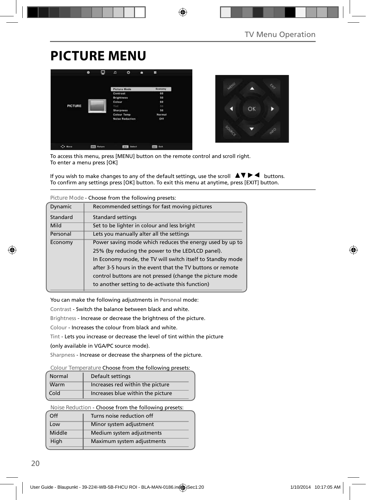# **PICTURE MENU**





To access this menu, press [MENU] button on the remote control and scroll right. To enter a menu press [OK]

If you wish to make changes to any of the default settings, use the scroll  $\blacktriangle \blacktriangledown \blacktriangleright \blacktriangleleft$  buttons. To confirm any settings press [OK] button. To exit this menu at anytime, press [EXIT] button.

| Figure Mode - Choose from the following presets. |                                                            |  |  |  |
|--------------------------------------------------|------------------------------------------------------------|--|--|--|
| Dynamic                                          | Recommended settings for fast moving pictures              |  |  |  |
| Standard                                         | Standard settings                                          |  |  |  |
| Mild                                             | Set to be lighter in colour and less bright                |  |  |  |
| Personal                                         | Lets you manually alter all the settings                   |  |  |  |
| Economy                                          | Power saving mode which reduces the energy used by up to   |  |  |  |
|                                                  | 25% (by reducing the power to the LED/LCD panel).          |  |  |  |
|                                                  | In Economy mode, the TV will switch itself to Standby mode |  |  |  |
|                                                  | after 3-5 hours in the event that the TV buttons or remote |  |  |  |
|                                                  | control buttons are not pressed (change the picture mode   |  |  |  |
|                                                  | to another setting to de-activate this function)           |  |  |  |

**Picture Mode** - Choose from the following presets:

You can make the following adjustments in **Personal** mode:

Contrast - Switch the balance between black and white.

Brightness - Increase or decrease the brightness of the picture.

Colour - Increases the colour from black and white.

Tint - Lets you increase or decrease the level of tint within the picture

(only available in VGA/PC source mode).

Sharpness - Increase or decrease the sharpness of the picture.

#### **Colour Temperature** Choose from the following presets:

| Normal | Default settings                  |
|--------|-----------------------------------|
| Warm   | Increases red within the picture  |
| Cold   | Increases blue within the picture |

**Noise Reduction** - Choose from the following presets:

| Off    | Turns noise reduction off  |  |
|--------|----------------------------|--|
| Low    | Minor system adjustment    |  |
| Middle | Medium system adjustments  |  |
| High   | Maximum system adjustments |  |
|        |                            |  |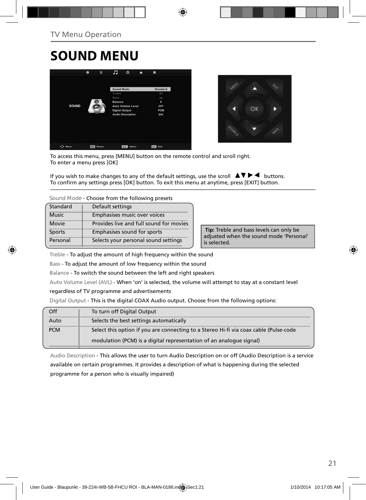# **SOUND MENU**





To access this menu, press [MENU] button on the remote control and scroll right. To enter a menu press [OK]

If you wish to make changes to any of the default settings, use the scroll  $\Box \blacktriangledown \blacktriangleright \blacktriangleleft$  buttons. To confirm any settings press [OK] button. To exit this menu at anytime, press [EXIT] button.

**Sound Mode** - Choose from the following presets

| Standard      | Default settings                        |
|---------------|-----------------------------------------|
| <b>Music</b>  | Emphasises music over voices            |
| Movie         | Provides live and full sound for movies |
| <b>Sports</b> | Emphasises sound for sports             |
| Personal      | Selects your personal sound settings    |

 **Tip:** Treble and bass levels can only be adjusted when the sound mode 'Personal' is selected.

Treble - To adjust the amount of high frequency within the sound

Bass - To adjust the amount of low frequency within the sound

Balance - To switch the sound between the left and right speakers

Auto Volume Level (AVL) - When 'on' is selected, the volume will attempt to stay at a constant level

regardless of TV programme and advertisements

Digital Output - This is the digital COAX Audio output. Choose from the following options:

| Off        | To turn off Digital Output                                                            |
|------------|---------------------------------------------------------------------------------------|
| Auto       | Selects the best settings automatically                                               |
| <b>PCM</b> | Select this option if you are connecting to a Stereo Hi-fi via coax cable (Pulse-code |
|            | modulation (PCM) is a digital representation of an analogue signal)                   |

Audio Description - This allows the user to turn Audio Description on or off (Audio Description is a service available on certain programmes. It provides a description of what is happening during the selected programme for a person who is visually impaired)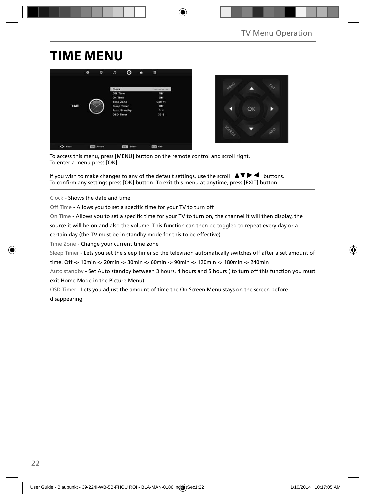## **TIME MENU**





To access this menu, press [MENU] button on the remote control and scroll right. To enter a menu press [OK]

If you wish to make changes to any of the default settings, use the scroll  $\Delta \nabla \blacktriangleright$   $\blacktriangleleft$  buttons. To confirm any settings press [OK] button. To exit this menu at anytime, press [EXIT] button.

Clock - Shows the date and time

Off Time - Allows you to set a specific time for your TV to turn off

On Time - Allows you to set a specific time for your TV to turn on, the channel it will then display, the

source it will be on and also the volume. This function can then be toggled to repeat every day or a

certain day (the TV must be in standby mode for this to be effective)

Time Zone - Change your current time zone

Sleep Timer - Lets you set the sleep timer so the television automatically switches off after a set amount of

time. Off -> 10min -> 20min -> 30min -> 60min -> 90min -> 120min -> 180min -> 240min

Auto standby - Set Auto standby between 3 hours, 4 hours and 5 hours ( to turn off this function you must exit Home Mode in the Picture Menu)

OSD Timer - Lets you adjust the amount of time the On Screen Menu stays on the screen before disappearing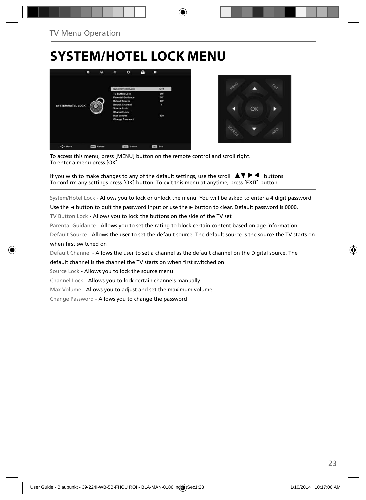## **SYSTEM/HOTEL LOCK MENU**





To access this menu, press [MENU] button on the remote control and scroll right. To enter a menu press [OK]

If you wish to make changes to any of the default settings, use the scroll  $\Box \Box \blacktriangleright \blacktriangleleft$  buttons. To confirm any settings press [OK] button. To exit this menu at anytime, press [EXIT] button.

System/Hotel Lock - Allows you to lock or unlock the menu. You will be asked to enter a 4 digit password

Use the **◄** button to quit the password input or use the **►** button to clear. Default password is 0000.

TV Button Lock - Allows you to lock the buttons on the side of the TV set

Parental Guidance - Allows you to set the rating to block certain content based on age information

Default Source - Allows the user to set the default source. The default source is the source the TV starts on when first switched on

Default Channel - Allows the user to set a channel as the default channel on the Digital source. The

default channel is the channel the TV starts on when first switched on

Source Lock - Allows you to lock the source menu

Channel Lock - Allows you to lock certain channels manually

Max Volume - Allows you to adjust and set the maximum volume

Change Password - Allows you to change the password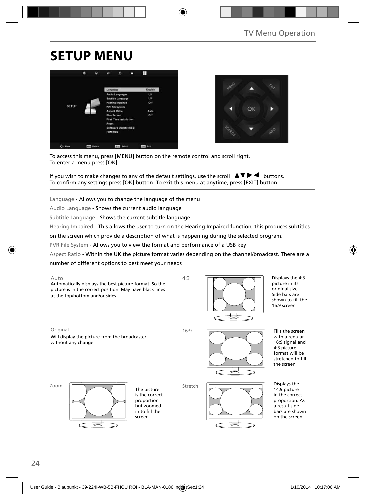## **SETUP MENU**





To access this menu, press [MENU] button on the remote control and scroll right. To enter a menu press [OK]

If you wish to make changes to any of the default settings, use the scroll  $\Delta \nabla \blacktriangleright$   $\blacktriangleleft$  buttons. To confirm any settings press [OK] button. To exit this menu at anytime, press [EXIT] button.

Language - Allows you to change the language of the menu

Audio Language - Shows the current audio language

Subtitle Language - Shows the current subtitle language

Hearing Impaired - This allows the user to turn on the Hearing Impaired function, this produces subtitles

on the screen which provide a description of what is happening during the selected program.

PVR File System - Allows you to view the format and performance of a USB key

Aspect Ratio - Within the UK the picture format varies depending on the channel/broadcast. There are a

4:3

number of different options to best meet your needs





Displays the 4:3 picture in its original size. Side bars are shown to fill the 16:9 screen

Original 16:9

Will display the picture from the broadcaster without any change



Fills the screen with a regular 16:9 signal and 4:3 picture format will be stretched to fill the screen

Zoom



The picture is the correct proportion but zoomed  $in$  to fill the screen

Stretch



Displays the 14:9 picture in the correct proportion. As a result side bars are shown on the screen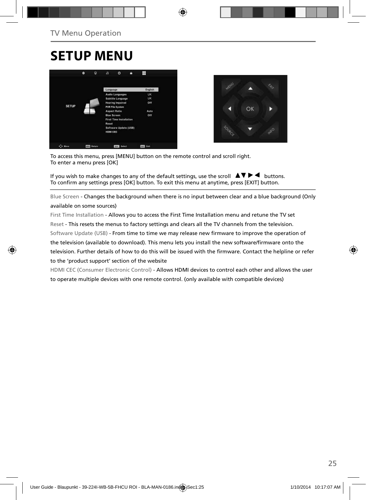## **SETUP MENU**





To access this menu, press [MENU] button on the remote control and scroll right. To enter a menu press [OK]

If you wish to make changes to any of the default settings, use the scroll  $\Delta \nabla \blacktriangleright$   $\blacktriangleleft$  buttons. To confirm any settings press [OK] button. To exit this menu at anytime, press [EXIT] button.

Blue Screen - Changes the background when there is no input between clear and a blue background (Only available on some sources)

First Time Installation - Allows you to access the First Time Installation menu and retune the TV set Reset - This resets the menus to factory settings and clears all the TV channels from the television. Software Update (USB) - From time to time we may release new firmware to improve the operation of the television (available to download). This menu lets you install the new software/firmware onto the television. Further details of how to do this will be issued with the firmware. Contact the helpline or refer to the 'product support' section of the website

HDMI CEC (Consumer Electronic Control) - Allows HDMI devices to control each other and allows the user to operate multiple devices with one remote control. (only available with compatible devices)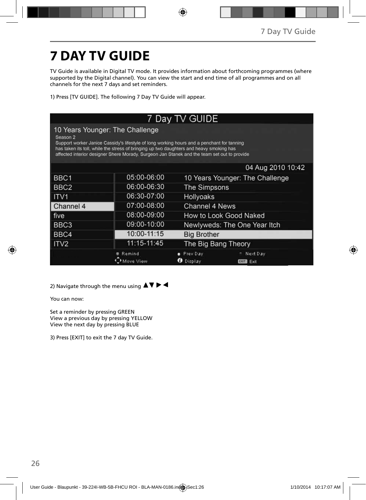# **7 DAY TV GUIDE**

TV Guide is available in Digital TV mode. It provides information about forthcoming programmes (where supported by the Digital channel). You can view the start and end time of all programmes and on all channels for the next 7 days and set reminders.

1) Press [TV GUIDE]. The following 7 Day TV Guide will appear.

| 7 Day TV GUIDE                                                                                                                                                                                                                                                                                                                                 |             |                              |                                 |  |  |  |
|------------------------------------------------------------------------------------------------------------------------------------------------------------------------------------------------------------------------------------------------------------------------------------------------------------------------------------------------|-------------|------------------------------|---------------------------------|--|--|--|
| 10 Years Younger: The Challenge<br>Season <sub>2</sub><br>Support worker Janice Cassidy's lifestyle of long working hours and a penchant for tanning<br>has taken its toll, while the stress of bringing up two daughters and heavy smoking has<br>affected interior designer Shere Morady. Surgeon Jan Stanek and the team set out to provide |             |                              |                                 |  |  |  |
|                                                                                                                                                                                                                                                                                                                                                |             |                              | 04 Aug 2010 10:42               |  |  |  |
| BBC1                                                                                                                                                                                                                                                                                                                                           | 05:00-06:00 |                              | 10 Years Younger: The Challenge |  |  |  |
| BBC <sub>2</sub>                                                                                                                                                                                                                                                                                                                               | 06:00-06:30 |                              | The Simpsons                    |  |  |  |
| ITV <sub>1</sub>                                                                                                                                                                                                                                                                                                                               | 06:30-07:00 | <b>Hollyoaks</b>             |                                 |  |  |  |
| Channel 4                                                                                                                                                                                                                                                                                                                                      | 07:00-08:00 |                              | Channel 4 News                  |  |  |  |
| five                                                                                                                                                                                                                                                                                                                                           | 08:00-09:00 |                              | How to Look Good Naked          |  |  |  |
| BBC <sub>3</sub>                                                                                                                                                                                                                                                                                                                               | 09:00-10:00 |                              | Newlyweds: The One Year Itch    |  |  |  |
| BBC4                                                                                                                                                                                                                                                                                                                                           | 10:00-11:15 |                              | <b>Big Brother</b>              |  |  |  |
| ITV <sub>2</sub>                                                                                                                                                                                                                                                                                                                               | 11:15-11:45 | The Big Bang Theory          |                                 |  |  |  |
|                                                                                                                                                                                                                                                                                                                                                | Remind      | Prev Day<br><b>D</b> Display | Next Day<br>Exit<br>EXIT        |  |  |  |

2) Navigate through the menu using  $\blacktriangle \blacktriangledown \blacktriangleright \blacktriangleleft$ 

You can now:

Set a reminder by pressing GREEN View a previous day by pressing YELLOW View the next day by pressing BLUE

3) Press [EXIT] to exit the 7 day TV Guide.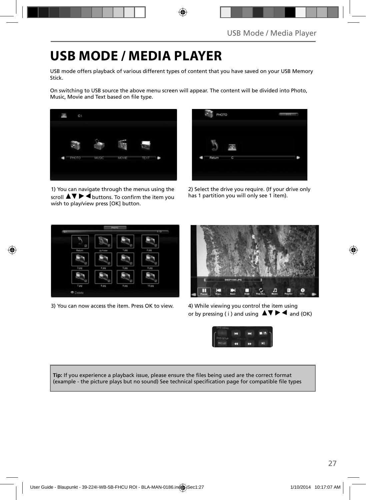## **USB MODE / MEDIA PLAYER**

USB mode offers playback of various different types of content that you have saved on your USB Memory Stick.

On switching to USB source the above menu screen will appear. The content will be divided into Photo, Music, Movie and Text based on file type.



1) You can navigate through the menus using the  $\overline{\mathsf{sr}}$   $\blacktriangleright$   $\overline{\blacktriangleleft}$  buttons. To confirm the item you wish to play/view press [OK] button.

| PHOTO |        |   | m |
|-------|--------|---|---|
|       | Return | C |   |
|       |        |   |   |

2) Select the drive you require. (If your drive only has 1 partition you will only see 1 item).



3) You can now access the item. Press OK to view. 4) While viewing you control the item using



or by pressing ( i ) and using  $\triangle \blacktriangledown \blacktriangleright \blacktriangleleft$  and (OK)



Tip: If you experience a playback issue, please ensure the files being used are the correct format (example - the picture plays but no sound) See technical specification page for compatible file types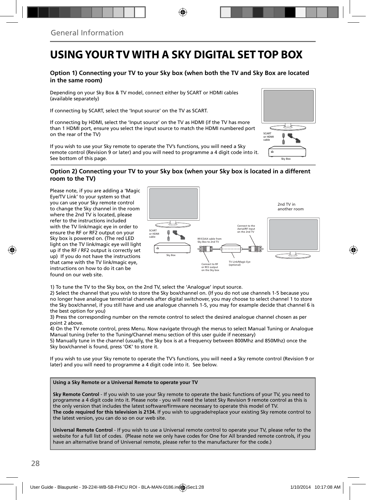### **USING YOUR TV WITH A SKY DIGITAL SET TOP BOX**

### **Option 1) Connecting your TV to your Sky box (when both the TV and Sky Box are located in the same room)**

Depending on your Sky Box & TV model, connect either by SCART or HDMI cables (available separately)

If connecting by SCART, select the 'Input source' on the TV as SCART.

If connecting by HDMI, select the 'Input source' on the TV as HDMI (if the TV has more than 1 HDMI port, ensure you select the input source to match the HDMI numbered port on the rear of the TV)

If you wish to use your Sky remote to operate the TV's functions, you will need a Sky remote control (Revision 9 or later) and you will need to programme a 4 digit code into it. See bottom of this page.

# Sky Box **SCART** or HDMI cable

#### **Option 2) Connecting your TV to your Sky box (when your Sky box is located in a different room to the TV)**

Please note, if you are adding a 'Magic Eye/TV Link' to your system so that you can use your Sky remote control to change the Sky channel in the room where the 2nd TV is located, please refer to the instructions included with the TV link/magic eye in order to ensure the RF or RF2 output on your Sky box is powered on. (The red LED light on the TV link/magic eye will light up if the RF / RF2 output is correctly set up) If you do not have the instructions that came with the TV link/magic eye, instructions on how to do it can be found on our web site.



1) To tune the TV to the Sky box, on the 2nd TV, select the 'Analogue' input source.

2) Select the channel that you wish to store the Sky box/channel on. (If you do not use channels 1-5 because you no longer have analogue terrestrial channels after digital switchover, you may choose to select channel 1 to store the Sky box/channel, if you still have and use analogue channels 1-5, you may for example decide that channel 6 is the best option for you)

3) Press the corresponding number on the remote control to select the desired analogue channel chosen as per point 2 above.

4) On the TV remote control, press Menu. Now navigate through the menus to select Manual Tuning or Analogue Manual tuning (refer to the Tuning/Channel menu section of this user guide if necessary)

5) Manually tune in the channel (usually, the Sky box is at a frequency between 800Mhz and 850Mhz) once the Sky box/channel is found, press 'OK' to store it.

If you wish to use your Sky remote to operate the TV's functions, you will need a Sky remote control (Revision 9 or later) and you will need to programme a 4 digit code into it. See below.

#### **Using a Sky Remote or a Universal Remote to operate your TV**

**Sky Remote Control** - If you wish to use your Sky remote to operate the basic functions of your TV, you need to programme a 4 digit code into it. Please note - you will need the latest Sky Revision 9 remote control as this is the only version that includes the latest software/firmware necessary to operate this model of TV. **The code required for this television is 2134.** If you wish to upgrade/replace your existing Sky remote control to the latest version, you can do so on our web site.

**Universal Remote Control** - If you wish to use a Universal remote control to operate your TV, please refer to the website for a full list of codes. (Please note we only have codes for One for All branded remote controls, if you have an alternative brand of Universal remote, please refer to the manufacturer for the code.)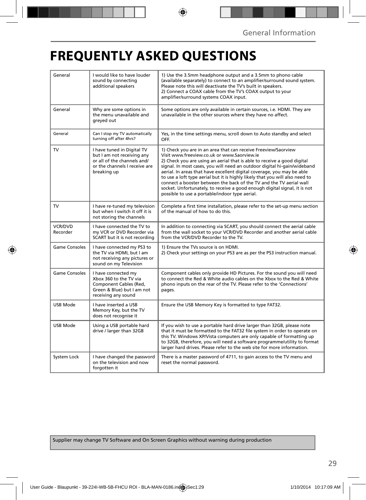## **FREQUENTLY ASKED QUESTIONS**

| General                    | I would like to have louder<br>sound by connecting<br>additional speakers                                                               | 1) Use the 3.5mm headphone output and a 3.5mm to phono cable<br>(available separately) to connect to an amplifier/surround sound system.<br>Please note this will deactivate the TV's built in speakers.<br>2) Connect a COAX cable from the TV's COAX output to your<br>amplifier/surround systems COAX input.                                                                                                                                                                                                                                                                                                                      |  |
|----------------------------|-----------------------------------------------------------------------------------------------------------------------------------------|--------------------------------------------------------------------------------------------------------------------------------------------------------------------------------------------------------------------------------------------------------------------------------------------------------------------------------------------------------------------------------------------------------------------------------------------------------------------------------------------------------------------------------------------------------------------------------------------------------------------------------------|--|
| General                    | Why are some options in<br>the menu unavailable and<br>greyed out                                                                       | Some options are only available in certain sources, i.e. HDMI. They are<br>unavailable in the other sources where they have no affect.                                                                                                                                                                                                                                                                                                                                                                                                                                                                                               |  |
| General                    | Can I stop my TV automatically<br>turning off after 4hrs?                                                                               | Yes, in the time settings menu, scroll down to Auto standby and select<br>OFF.                                                                                                                                                                                                                                                                                                                                                                                                                                                                                                                                                       |  |
| TV                         | I have tuned in Digital TV<br>but I am not receiving any<br>or all of the channels and/<br>or the channels I receive are<br>breaking up | 1) Check you are in an area that can receive Freeview/Saorview<br>Visit www.freeview.co.uk or www.Saorview.ie<br>2) Check you are using an aerial that is able to receive a good digital<br>signal. In most cases, you will need an outdoor digital hi-gain/wideband<br>aerial. In areas that have excellent digital coverage, you may be able<br>to use a loft type aerial but it is highly likely that you will also need to<br>connect a booster between the back of the TV and the TV aerial wall<br>socket. Unfortunately, to receive a good enough digital signal, it is not<br>possible to use a portable/indoor type aerial. |  |
| TV                         | I have re-tuned my television<br>but when I switch it off it is<br>not storing the channels                                             | Complete a first time installation, please refer to the set-up menu section<br>of the manual of how to do this.                                                                                                                                                                                                                                                                                                                                                                                                                                                                                                                      |  |
| <b>VCR/DVD</b><br>Recorder | I have connected the TV to<br>my VCR or DVD Recorder via<br>SCART but it is not recording                                               | In addition to connecting via SCART, you should connect the aerial cable<br>from the wall socket to your VCR/DVD Recorder and another aerial cable<br>from the VCR/DVD Recorder to the TV.                                                                                                                                                                                                                                                                                                                                                                                                                                           |  |
| <b>Game Consoles</b>       | I have connected my PS3 to<br>the TV via HDMI, but I am<br>not receiving any pictures or<br>sound on my Television                      | 1) Ensure the TVs source is on HDMI.<br>2) Check your settings on your PS3 are as per the PS3 instruction manual.                                                                                                                                                                                                                                                                                                                                                                                                                                                                                                                    |  |
| <b>Game Consoles</b>       | I have connected my<br>Xbox 360 to the TV via<br>Component Cables (Red.<br>Green & Blue) but I am not<br>receiving any sound            | Component cables only provide HD Pictures. For the sound you will need<br>to connect the Red & White audio cables on the Xbox to the Red & White<br>phono inputs on the rear of the TV. Please refer to the 'Connections'<br>pages.                                                                                                                                                                                                                                                                                                                                                                                                  |  |
| USB Mode                   | I have inserted a USB<br>Memory Key, but the TV<br>does not recognise it                                                                | Ensure the USB Memory Key is formatted to type FAT32.                                                                                                                                                                                                                                                                                                                                                                                                                                                                                                                                                                                |  |
| USB Mode                   | Using a USB portable hard<br>drive / larger than 32GB                                                                                   | If you wish to use a portable hard drive larger than 32GB, please note<br>that it must be formatted to the FAT32 file system in order to operate on<br>this TV. Windows XP/Vista computers are only capable of formatting up<br>to 32GB, therefore, you will need a software programme/utility to format<br>larger hard drives. Please refer to the web site for more information.                                                                                                                                                                                                                                                   |  |
| System Lock                | I have changed the password<br>on the television and now<br>forgotten it                                                                | There is a master password of 4711, to gain access to the TV menu and<br>reset the normal password.                                                                                                                                                                                                                                                                                                                                                                                                                                                                                                                                  |  |

Supplier may change TV Software and On Screen Graphics without warning during production